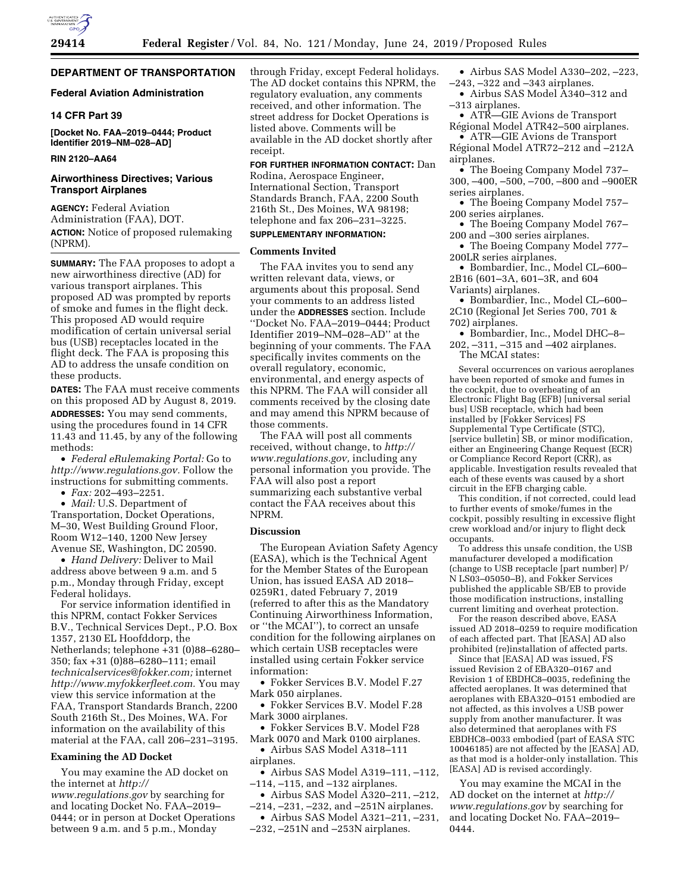# **DEPARTMENT OF TRANSPORTATION**

# **Federal Aviation Administration**

# **14 CFR Part 39**

**[Docket No. FAA–2019–0444; Product Identifier 2019–NM–028–AD]** 

## **RIN 2120–AA64**

# **Airworthiness Directives; Various Transport Airplanes**

**AGENCY:** Federal Aviation Administration (FAA), DOT. **ACTION:** Notice of proposed rulemaking (NPRM).

**SUMMARY:** The FAA proposes to adopt a new airworthiness directive (AD) for various transport airplanes. This proposed AD was prompted by reports of smoke and fumes in the flight deck. This proposed AD would require modification of certain universal serial bus (USB) receptacles located in the flight deck. The FAA is proposing this AD to address the unsafe condition on these products.

**DATES:** The FAA must receive comments on this proposed AD by August 8, 2019. **ADDRESSES:** You may send comments, using the procedures found in 14 CFR 11.43 and 11.45, by any of the following methods:

• *Federal eRulemaking Portal:* Go to *[http://www.regulations.gov.](http://www.regulations.gov)* Follow the instructions for submitting comments.

• *Fax:* 202–493–2251.

• *Mail:* U.S. Department of Transportation, Docket Operations, M–30, West Building Ground Floor, Room W12–140, 1200 New Jersey Avenue SE, Washington, DC 20590.

• *Hand Delivery:* Deliver to Mail address above between 9 a.m. and 5 p.m., Monday through Friday, except Federal holidays.

For service information identified in this NPRM, contact Fokker Services B.V., Technical Services Dept., P.O. Box 1357, 2130 EL Hoofddorp, the Netherlands; telephone +31 (0)88–6280– 350; fax +31 (0)88–6280–111; email *[technicalservices@fokker.com;](mailto:technicalservices@fokker.com)* internet *[http://www.myfokkerfleet.com.](http://www.myfokkerfleet.com)* You may view this service information at the FAA, Transport Standards Branch, 2200 South 216th St., Des Moines, WA. For information on the availability of this material at the FAA, call 206–231–3195.

#### **Examining the AD Docket**

You may examine the AD docket on the internet at *[http://](http://www.regulations.gov) [www.regulations.gov](http://www.regulations.gov)* by searching for and locating Docket No. FAA–2019– 0444; or in person at Docket Operations between 9 a.m. and 5 p.m., Monday

through Friday, except Federal holidays. The AD docket contains this NPRM, the regulatory evaluation, any comments received, and other information. The street address for Docket Operations is listed above. Comments will be available in the AD docket shortly after receipt.

**FOR FURTHER INFORMATION CONTACT:** Dan Rodina, Aerospace Engineer, International Section, Transport Standards Branch, FAA, 2200 South 216th St., Des Moines, WA 98198; telephone and fax 206–231–3225.

# **SUPPLEMENTARY INFORMATION:**

#### **Comments Invited**

The FAA invites you to send any written relevant data, views, or arguments about this proposal. Send your comments to an address listed under the **ADDRESSES** section. Include ''Docket No. FAA–2019–0444; Product Identifier 2019–NM–028–AD'' at the beginning of your comments. The FAA specifically invites comments on the overall regulatory, economic, environmental, and energy aspects of this NPRM. The FAA will consider all comments received by the closing date and may amend this NPRM because of those comments.

The FAA will post all comments received, without change, to *[http://](http://www.regulations.gov) [www.regulations.gov,](http://www.regulations.gov)* including any personal information you provide. The FAA will also post a report summarizing each substantive verbal contact the FAA receives about this NPRM.

#### **Discussion**

The European Aviation Safety Agency (EASA), which is the Technical Agent for the Member States of the European Union, has issued EASA AD 2018– 0259R1, dated February 7, 2019 (referred to after this as the Mandatory Continuing Airworthiness Information, or ''the MCAI''), to correct an unsafe condition for the following airplanes on which certain USB receptacles were installed using certain Fokker service information:

• Fokker Services B.V. Model F.27 Mark 050 airplanes.

• Fokker Services B.V. Model F.28 Mark 3000 airplanes.

• Fokker Services B.V. Model F28 Mark 0070 and Mark 0100 airplanes.

• Airbus SAS Model A318–111 airplanes.

• Airbus SAS Model A319–111, –112, –114, –115, and –132 airplanes.

• Airbus SAS Model A320–211, –212, –214, –231, –232, and –251N airplanes.

• Airbus SAS Model A321–211, –231, –232, –251N and –253N airplanes.

• Airbus SAS Model A330–202, –223, –243, –322 and –343 airplanes.

• Airbus SAS Model A340–312 and –313 airplanes.

• ATR—GIE Avions de Transport Régional Model ATR42–500 airplanes.

• ATR—GIE Avions de Transport Régional Model ATR72-212 and -212A airplanes.

• The Boeing Company Model 737– 300, –400, –500, –700, –800 and –900ER series airplanes.

• The Boeing Company Model 757-200 series airplanes.

• The Boeing Company Model 767– 200 and –300 series airplanes.

• The Boeing Company Model 777– 200LR series airplanes.

• Bombardier, Inc., Model CL–600– 2B16 (601–3A, 601–3R, and 604 Variants) airplanes.

• Bombardier, Inc., Model CL–600– 2C10 (Regional Jet Series 700, 701 & 702) airplanes.

• Bombardier, Inc., Model DHC–8– 202, –311, –315 and –402 airplanes. The MCAI states:

Several occurrences on various aeroplanes have been reported of smoke and fumes in the cockpit, due to overheating of an Electronic Flight Bag (EFB) [universal serial bus] USB receptacle, which had been installed by [Fokker Services] FS Supplemental Type Certificate (STC), [service bulletin] SB, or minor modification, either an Engineering Change Request (ECR) or Compliance Record Report (CRR), as applicable. Investigation results revealed that each of these events was caused by a short circuit in the EFB charging cable.

This condition, if not corrected, could lead to further events of smoke/fumes in the cockpit, possibly resulting in excessive flight crew workload and/or injury to flight deck occupants.

To address this unsafe condition, the USB manufacturer developed a modification (change to USB receptacle [part number] P/ N LS03–05050–B), and Fokker Services published the applicable SB/EB to provide those modification instructions, installing current limiting and overheat protection.

For the reason described above, EASA issued AD 2018–0259 to require modification of each affected part. That [EASA] AD also prohibited (re)installation of affected parts.

Since that [EASA] AD was issued, FS issued Revision 2 of EBA320–0167 and Revision 1 of EBDHC8–0035, redefining the affected aeroplanes. It was determined that aeroplanes with EBA320–0151 embodied are not affected, as this involves a USB power supply from another manufacturer. It was also determined that aeroplanes with FS EBDHC8–0033 embodied (part of EASA STC 10046185) are not affected by the [EASA] AD, as that mod is a holder-only installation. This [EASA] AD is revised accordingly.

You may examine the MCAI in the AD docket on the internet at *[http://](http://www.regulations.gov) [www.regulations.gov](http://www.regulations.gov)* by searching for and locating Docket No. FAA–2019– 0444.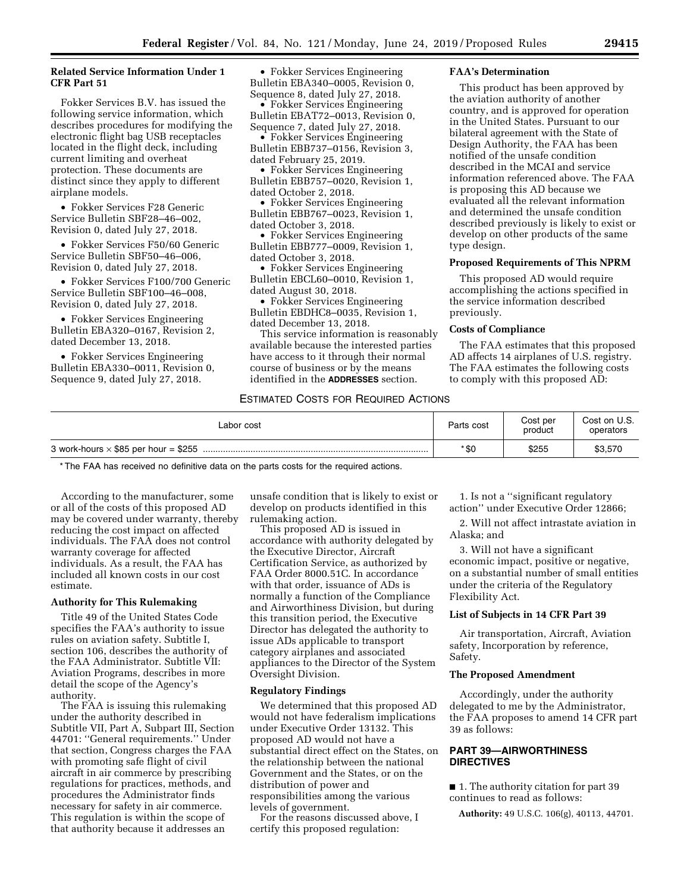# **Related Service Information Under 1 CFR Part 51**

Fokker Services B.V. has issued the following service information, which describes procedures for modifying the electronic flight bag USB receptacles located in the flight deck, including current limiting and overheat protection. These documents are distinct since they apply to different airplane models.

• Fokker Services F28 Generic Service Bulletin SBF28–46–002, Revision 0, dated July 27, 2018.

• Fokker Services F50/60 Generic Service Bulletin SBF50–46–006, Revision 0, dated July 27, 2018.

• Fokker Services F100/700 Generic Service Bulletin SBF100–46–008, Revision 0, dated July 27, 2018.

• Fokker Services Engineering Bulletin EBA320–0167, Revision 2, dated December 13, 2018.

• Fokker Services Engineering Bulletin EBA330–0011, Revision 0, Sequence 9, dated July 27, 2018.

• Fokker Services Engineering Bulletin EBA340–0005, Revision 0, Sequence 8, dated July 27, 2018.

• Fokker Services Engineering Bulletin EBAT72–0013, Revision 0, Sequence 7, dated July 27, 2018.

• Fokker Services Engineering Bulletin EBB737–0156, Revision 3, dated February 25, 2019.

• Fokker Services Engineering Bulletin EBB757–0020, Revision 1, dated October 2, 2018.

• Fokker Services Engineering Bulletin EBB767–0023, Revision 1, dated October 3, 2018.

• Fokker Services Engineering Bulletin EBB777–0009, Revision 1, dated October 3, 2018.

• Fokker Services Engineering Bulletin EBCL60–0010, Revision 1, dated August 30, 2018.

• Fokker Services Engineering Bulletin EBDHC8–0035, Revision 1, dated December 13, 2018.

This service information is reasonably available because the interested parties have access to it through their normal course of business or by the means identified in the **ADDRESSES** section.

# **FAA's Determination**

This product has been approved by the aviation authority of another country, and is approved for operation in the United States. Pursuant to our bilateral agreement with the State of Design Authority, the FAA has been notified of the unsafe condition described in the MCAI and service information referenced above. The FAA is proposing this AD because we evaluated all the relevant information and determined the unsafe condition described previously is likely to exist or develop on other products of the same type design.

#### **Proposed Requirements of This NPRM**

This proposed AD would require accomplishing the actions specified in the service information described previously.

## **Costs of Compliance**

The FAA estimates that this proposed AD affects 14 airplanes of U.S. registry. The FAA estimates the following costs to comply with this proposed AD:

# ESTIMATED COSTS FOR REQUIRED ACTIONS

| ∟abor cost                                  | Parts cost | Cost per<br>product | Cost on U.S.<br>operators |
|---------------------------------------------|------------|---------------------|---------------------------|
| 3 work-hours $\times$ \$85 per hour = \$255 | * \$0      | \$255               | \$3,570                   |

\* The FAA has received no definitive data on the parts costs for the required actions.

According to the manufacturer, some or all of the costs of this proposed AD may be covered under warranty, thereby reducing the cost impact on affected individuals. The FAA does not control warranty coverage for affected individuals. As a result, the FAA has included all known costs in our cost estimate.

#### **Authority for This Rulemaking**

Title 49 of the United States Code specifies the FAA's authority to issue rules on aviation safety. Subtitle I, section 106, describes the authority of the FAA Administrator. Subtitle VII: Aviation Programs, describes in more detail the scope of the Agency's authority.

The FAA is issuing this rulemaking under the authority described in Subtitle VII, Part A, Subpart III, Section 44701: ''General requirements.'' Under that section, Congress charges the FAA with promoting safe flight of civil aircraft in air commerce by prescribing regulations for practices, methods, and procedures the Administrator finds necessary for safety in air commerce. This regulation is within the scope of that authority because it addresses an

unsafe condition that is likely to exist or develop on products identified in this rulemaking action.

This proposed AD is issued in accordance with authority delegated by the Executive Director, Aircraft Certification Service, as authorized by FAA Order 8000.51C. In accordance with that order, issuance of ADs is normally a function of the Compliance and Airworthiness Division, but during this transition period, the Executive Director has delegated the authority to issue ADs applicable to transport category airplanes and associated appliances to the Director of the System Oversight Division.

#### **Regulatory Findings**

We determined that this proposed AD would not have federalism implications under Executive Order 13132. This proposed AD would not have a substantial direct effect on the States, on the relationship between the national Government and the States, or on the distribution of power and responsibilities among the various levels of government.

For the reasons discussed above, I certify this proposed regulation:

1. Is not a ''significant regulatory action'' under Executive Order 12866;

2. Will not affect intrastate aviation in Alaska; and

3. Will not have a significant economic impact, positive or negative, on a substantial number of small entities under the criteria of the Regulatory Flexibility Act.

#### **List of Subjects in 14 CFR Part 39**

Air transportation, Aircraft, Aviation safety, Incorporation by reference, Safety.

# **The Proposed Amendment**

Accordingly, under the authority delegated to me by the Administrator, the FAA proposes to amend 14 CFR part 39 as follows:

# **PART 39—AIRWORTHINESS DIRECTIVES**

■ 1. The authority citation for part 39 continues to read as follows:

**Authority:** 49 U.S.C. 106(g), 40113, 44701.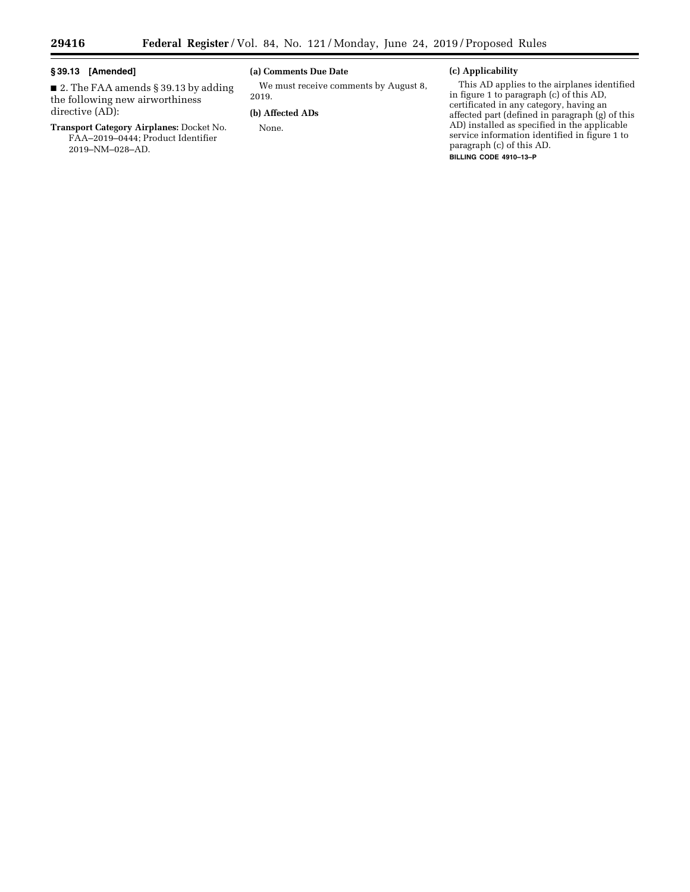-

# **§ 39.13 [Amended]**

■ 2. The FAA amends § 39.13 by adding the following new airworthiness directive (AD):

# **Transport Category Airplanes:** Docket No. FAA–2019–0444; Product Identifier 2019–NM–028–AD.

# **(a) Comments Due Date**

We must receive comments by August 8, 2019.

# **(b) Affected ADs**

None.

# **(c) Applicability**

This AD applies to the airplanes identified in figure 1 to paragraph (c) of this AD, certificated in any category, having an affected part (defined in paragraph (g) of this AD) installed as specified in the applicable service information identified in figure 1 to paragraph (c) of this AD. **BILLING CODE 4910–13–P**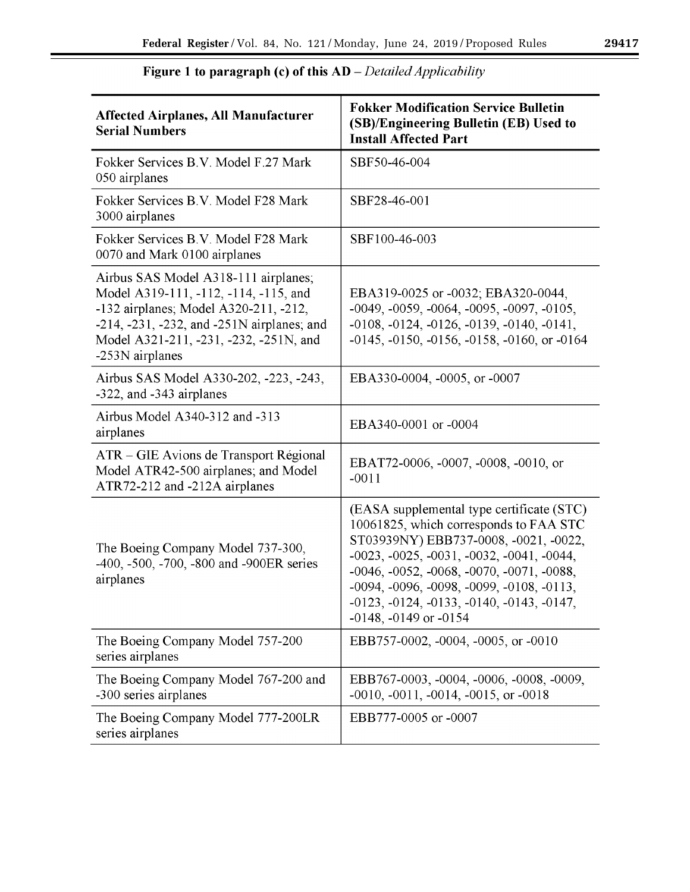$\equiv$ 

| <b>Affected Airplanes, All Manufacturer</b><br><b>Serial Numbers</b>                                                                                                                                                              | <b>Fokker Modification Service Bulletin</b><br>(SB)/Engineering Bulletin (EB) Used to<br><b>Install Affected Part</b>                                                                                                                                                                                                                                    |
|-----------------------------------------------------------------------------------------------------------------------------------------------------------------------------------------------------------------------------------|----------------------------------------------------------------------------------------------------------------------------------------------------------------------------------------------------------------------------------------------------------------------------------------------------------------------------------------------------------|
| Fokker Services B.V. Model F.27 Mark<br>050 airplanes                                                                                                                                                                             | SBF50-46-004                                                                                                                                                                                                                                                                                                                                             |
| Fokker Services B.V. Model F28 Mark<br>3000 airplanes                                                                                                                                                                             | SBF28-46-001                                                                                                                                                                                                                                                                                                                                             |
| Fokker Services B.V. Model F28 Mark<br>0070 and Mark 0100 airplanes                                                                                                                                                               | SBF100-46-003                                                                                                                                                                                                                                                                                                                                            |
| Airbus SAS Model A318-111 airplanes;<br>Model A319-111, -112, -114, -115, and<br>-132 airplanes; Model A320-211, -212,<br>-214, -231, -232, and -251N airplanes; and<br>Model A321-211, -231, -232, -251N, and<br>-253N airplanes | EBA319-0025 or -0032; EBA320-0044,<br>$-0049, -0059, -0064, -0095, -0097, -0105,$<br>$-0108, -0124, -0126, -0139, -0140, -0141,$<br>-0145, -0150, -0156, -0158, -0160, or -0164                                                                                                                                                                          |
| Airbus SAS Model A330-202, -223, -243,<br>-322, and -343 airplanes                                                                                                                                                                | EBA330-0004, -0005, or -0007                                                                                                                                                                                                                                                                                                                             |
| Airbus Model A340-312 and -313<br>airplanes                                                                                                                                                                                       | EBA340-0001 or -0004                                                                                                                                                                                                                                                                                                                                     |
| ATR – GIE Avions de Transport Régional<br>Model ATR42-500 airplanes; and Model<br>ATR72-212 and -212A airplanes                                                                                                                   | EBAT72-0006, -0007, -0008, -0010, or<br>$-0011$                                                                                                                                                                                                                                                                                                          |
| The Boeing Company Model 737-300,<br>-400, -500, -700, -800 and -900ER series<br>airplanes                                                                                                                                        | (EASA supplemental type certificate (STC)<br>10061825, which corresponds to FAA STC<br>ST03939NY) EBB737-0008, -0021, -0022,<br>$-0023, -0025, -0031, -0032, -0041, -0044,$<br>$-0046, -0052, -0068, -0070, -0071, -0088,$<br>$-0094, -0096, -0098, -0099, -0108, -0113,$<br>$-0123, -0124, -0133, -0140, -0143, -0147,$<br>$-0148$ , $-0149$ or $-0154$ |
| The Boeing Company Model 757-200<br>series airplanes                                                                                                                                                                              | EBB757-0002, -0004, -0005, or -0010                                                                                                                                                                                                                                                                                                                      |
| The Boeing Company Model 767-200 and<br>-300 series airplanes                                                                                                                                                                     | EBB767-0003, -0004, -0006, -0008, -0009,<br>$-0010, -0011, -0014, -0015,$ or $-0018$                                                                                                                                                                                                                                                                     |
| The Boeing Company Model 777-200LR<br>series airplanes                                                                                                                                                                            | EBB777-0005 or -0007                                                                                                                                                                                                                                                                                                                                     |

# **Figure 1 to paragraph** (c) **of this AD** *-Detailed Applicability*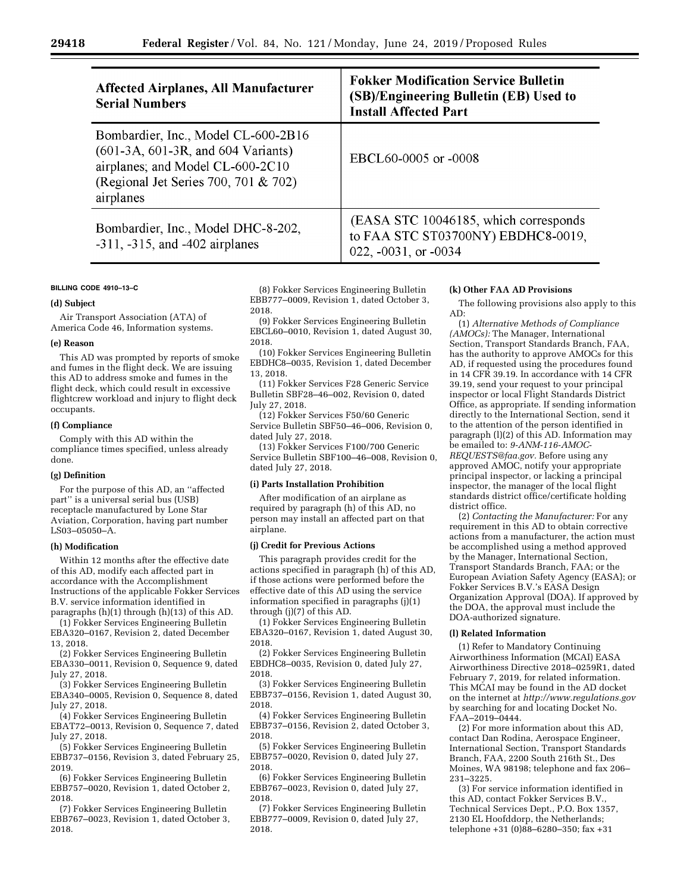| <b>Affected Airplanes, All Manufacturer</b><br><b>Serial Numbers</b>                                                                                                 | <b>Fokker Modification Service Bulletin</b><br>(SB)/Engineering Bulletin (EB) Used to<br><b>Install Affected Part</b> |
|----------------------------------------------------------------------------------------------------------------------------------------------------------------------|-----------------------------------------------------------------------------------------------------------------------|
| Bombardier, Inc., Model CL-600-2B16<br>$(601-3A, 601-3R, and 604 Variants)$<br>airplanes; and Model CL-600-2C10<br>(Regional Jet Series 700, 701 & 702)<br>airplanes | EBCL60-0005 or -0008                                                                                                  |
| Bombardier, Inc., Model DHC-8-202,<br>$-311, -315$ , and $-402$ airplanes                                                                                            | (EASA STC 10046185, which corresponds<br>to FAA STC ST03700NY) EBDHC8-0019,<br>022, $-0031$ , or $-0034$              |

#### **BILLING CODE 4910–13–C**

## **(d) Subject**

Air Transport Association (ATA) of America Code 46, Information systems.

#### **(e) Reason**

This AD was prompted by reports of smoke and fumes in the flight deck. We are issuing this AD to address smoke and fumes in the flight deck, which could result in excessive flightcrew workload and injury to flight deck occupants.

#### **(f) Compliance**

Comply with this AD within the compliance times specified, unless already done.

#### **(g) Definition**

For the purpose of this AD, an ''affected part'' is a universal serial bus (USB) receptacle manufactured by Lone Star Aviation, Corporation, having part number LS03–05050–A.

#### **(h) Modification**

Within 12 months after the effective date of this AD, modify each affected part in accordance with the Accomplishment Instructions of the applicable Fokker Services B.V. service information identified in paragraphs (h)(1) through (h)(13) of this AD.

(1) Fokker Services Engineering Bulletin EBA320–0167, Revision 2, dated December 13, 2018.

(2) Fokker Services Engineering Bulletin EBA330–0011, Revision 0, Sequence 9, dated July 27, 2018.

(3) Fokker Services Engineering Bulletin EBA340–0005, Revision 0, Sequence 8, dated July 27, 2018.

(4) Fokker Services Engineering Bulletin EBAT72–0013, Revision 0, Sequence 7, dated July 27, 2018.

(5) Fokker Services Engineering Bulletin EBB737–0156, Revision 3, dated February 25, 2019.

(6) Fokker Services Engineering Bulletin EBB757–0020, Revision 1, dated October 2, 2018.

(7) Fokker Services Engineering Bulletin EBB767–0023, Revision 1, dated October 3, 2018.

(8) Fokker Services Engineering Bulletin EBB777–0009, Revision 1, dated October 3, 2018.

(9) Fokker Services Engineering Bulletin EBCL60–0010, Revision 1, dated August 30, 2018.

(10) Fokker Services Engineering Bulletin EBDHC8–0035, Revision 1, dated December 13, 2018.

(11) Fokker Services F28 Generic Service Bulletin SBF28–46–002, Revision 0, dated July 27, 2018.

(12) Fokker Services F50/60 Generic Service Bulletin SBF50–46–006, Revision 0, dated July 27, 2018.

(13) Fokker Services F100/700 Generic Service Bulletin SBF100–46–008, Revision 0, dated July 27, 2018.

## **(i) Parts Installation Prohibition**

After modification of an airplane as required by paragraph (h) of this AD, no person may install an affected part on that airplane.

#### **(j) Credit for Previous Actions**

This paragraph provides credit for the actions specified in paragraph (h) of this AD, if those actions were performed before the effective date of this AD using the service information specified in paragraphs (j)(1) through (j)(7) of this AD.

(1) Fokker Services Engineering Bulletin EBA320–0167, Revision 1, dated August 30, 2018.

(2) Fokker Services Engineering Bulletin EBDHC8–0035, Revision 0, dated July 27, 2018.

(3) Fokker Services Engineering Bulletin EBB737–0156, Revision 1, dated August 30, 2018.

(4) Fokker Services Engineering Bulletin EBB737–0156, Revision 2, dated October 3, 2018.

(5) Fokker Services Engineering Bulletin EBB757–0020, Revision 0, dated July 27, 2018.

(6) Fokker Services Engineering Bulletin EBB767–0023, Revision 0, dated July 27, 2018.

(7) Fokker Services Engineering Bulletin EBB777–0009, Revision 0, dated July 27, 2018.

#### **(k) Other FAA AD Provisions**

The following provisions also apply to this AD:

(1) *Alternative Methods of Compliance (AMOCs):* The Manager, International Section, Transport Standards Branch, FAA, has the authority to approve AMOCs for this AD, if requested using the procedures found in 14 CFR 39.19. In accordance with 14 CFR 39.19, send your request to your principal inspector or local Flight Standards District Office, as appropriate. If sending information directly to the International Section, send it to the attention of the person identified in paragraph (l)(2) of this AD. Information may be emailed to: *[9-ANM-116-AMOC-](mailto:9-ANM-116-AMOC-REQUESTS@faa.gov)[REQUESTS@faa.gov.](mailto:9-ANM-116-AMOC-REQUESTS@faa.gov)* Before using any approved AMOC, notify your appropriate principal inspector, or lacking a principal inspector, the manager of the local flight standards district office/certificate holding district office.

(2) *Contacting the Manufacturer:* For any requirement in this AD to obtain corrective actions from a manufacturer, the action must be accomplished using a method approved by the Manager, International Section, Transport Standards Branch, FAA; or the European Aviation Safety Agency (EASA); or Fokker Services B.V.'s EASA Design Organization Approval (DOA). If approved by the DOA, the approval must include the DOA-authorized signature.

#### **(l) Related Information**

(1) Refer to Mandatory Continuing Airworthiness Information (MCAI) EASA Airworthiness Directive 2018–0259R1, dated February 7, 2019, for related information. This MCAI may be found in the AD docket on the internet at *<http://www.regulations.gov>*  by searching for and locating Docket No. FAA–2019–0444.

(2) For more information about this AD, contact Dan Rodina, Aerospace Engineer, International Section, Transport Standards Branch, FAA, 2200 South 216th St., Des Moines, WA 98198; telephone and fax 206– 231–3225.

(3) For service information identified in this AD, contact Fokker Services B.V., Technical Services Dept., P.O. Box 1357, 2130 EL Hoofddorp, the Netherlands; telephone  $+31$  (0) $88-6280-350$ ; fax  $+31$